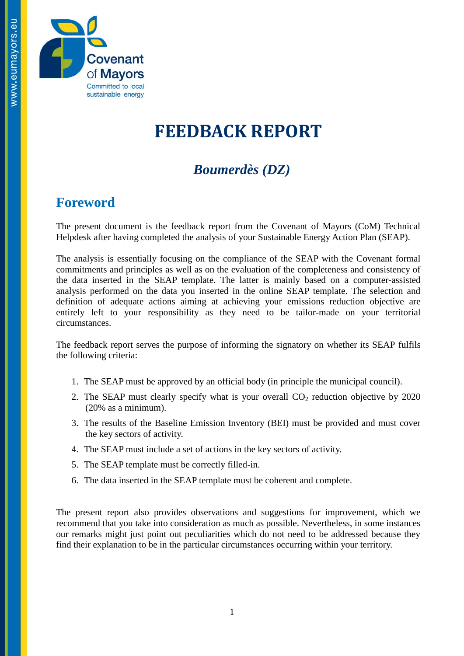

# **FEEDBACK REPORT**

## *Boumerdès (DZ)*

### **Foreword**

The present document is the feedback report from the Covenant of Mayors (CoM) Technical Helpdesk after having completed the analysis of your Sustainable Energy Action Plan (SEAP).

The analysis is essentially focusing on the compliance of the SEAP with the Covenant formal commitments and principles as well as on the evaluation of the completeness and consistency of the data inserted in the SEAP template. The latter is mainly based on a computer-assisted analysis performed on the data you inserted in the online SEAP template. The selection and definition of adequate actions aiming at achieving your emissions reduction objective are entirely left to your responsibility as they need to be tailor-made on your territorial circumstances.

The feedback report serves the purpose of informing the signatory on whether its SEAP fulfils the following criteria:

- 1. The SEAP must be approved by an official body (in principle the municipal council).
- 2. The SEAP must clearly specify what is your overall  $CO<sub>2</sub>$  reduction objective by 2020 (20% as a minimum).
- 3. The results of the Baseline Emission Inventory (BEI) must be provided and must cover the key sectors of activity.
- 4. The SEAP must include a set of actions in the key sectors of activity.
- 5. The SEAP template must be correctly filled-in.
- 6. The data inserted in the SEAP template must be coherent and complete.

The present report also provides observations and suggestions for improvement, which we recommend that you take into consideration as much as possible. Nevertheless, in some instances our remarks might just point out peculiarities which do not need to be addressed because they find their explanation to be in the particular circumstances occurring within your territory.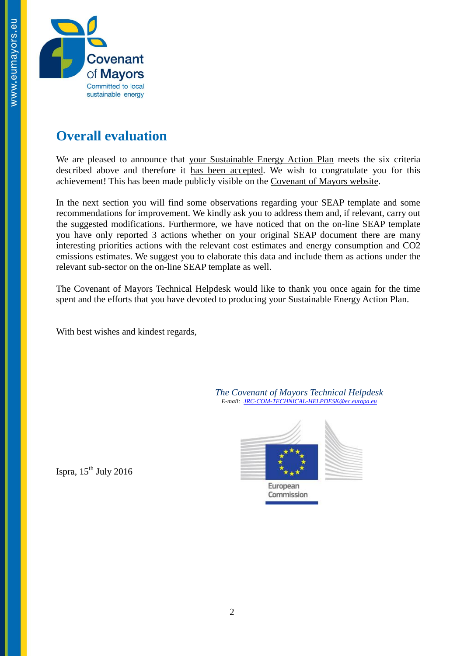

### **Overall evaluation**

We are pleased to announce that your Sustainable Energy Action Plan meets the six criteria described above and therefore it has been accepted. We wish to congratulate you for this achievement! This has been made publicly visible on the [Covenant of Mayors website.](http://www.eumayors.eu/actions/sustainable-energy-action-plans_en.html?city=&x=0&y=0&country_seap=&co2=&date_of_approval=&accepted=)

In the next section you will find some observations regarding your SEAP template and some recommendations for improvement. We kindly ask you to address them and, if relevant, carry out the suggested modifications. Furthermore, we have noticed that on the on-line SEAP template you have only reported 3 actions whether on your original SEAP document there are many interesting priorities actions with the relevant cost estimates and energy consumption and CO2 emissions estimates. We suggest you to elaborate this data and include them as actions under the relevant sub-sector on the on-line SEAP template as well.

The Covenant of Mayors Technical Helpdesk would like to thank you once again for the time spent and the efforts that you have devoted to producing your Sustainable Energy Action Plan.

With best wishes and kindest regards,

*The Covenant of Mayors Technical Helpdesk E-mail: [JRC-COM-TECHNICAL-HELPDESK@ec.europa.eu](mailto:JRC-COM-TECHNICAL-HELPDESK@ec.europa.eu)*



Ispra,  $15^{th}$  July 2016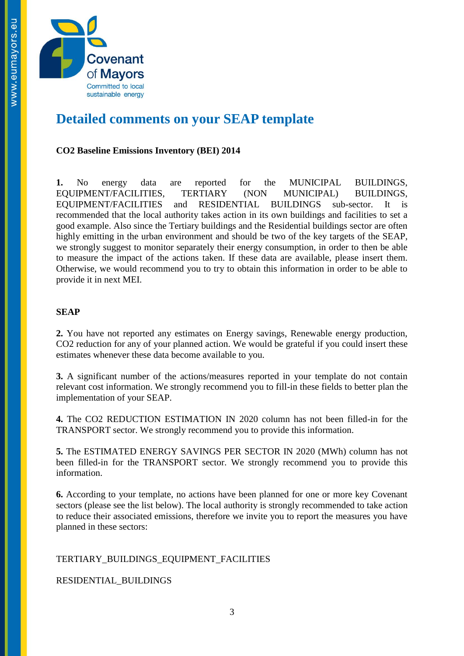

### **Detailed comments on your SEAP template**

#### **CO2 Baseline Emissions Inventory (BEI) 2014**

**1.** No energy data are reported for the MUNICIPAL BUILDINGS, EQUIPMENT/FACILITIES, TERTIARY (NON MUNICIPAL) BUILDINGS, EQUIPMENT/FACILITIES and RESIDENTIAL BUILDINGS sub-sector. It is recommended that the local authority takes action in its own buildings and facilities to set a good example. Also since the Tertiary buildings and the Residential buildings sector are often highly emitting in the urban environment and should be two of the key targets of the SEAP, we strongly suggest to monitor separately their energy consumption, in order to then be able to measure the impact of the actions taken. If these data are available, please insert them. Otherwise, we would recommend you to try to obtain this information in order to be able to provide it in next MEI.

#### **SEAP**

**2.** You have not reported any estimates on Energy savings, Renewable energy production, CO2 reduction for any of your planned action. We would be grateful if you could insert these estimates whenever these data become available to you.

**3.** A significant number of the actions/measures reported in your template do not contain relevant cost information. We strongly recommend you to fill-in these fields to better plan the implementation of your SEAP.

**4.** The CO2 REDUCTION ESTIMATION IN 2020 column has not been filled-in for the TRANSPORT sector. We strongly recommend you to provide this information.

**5.** The ESTIMATED ENERGY SAVINGS PER SECTOR IN 2020 (MWh) column has not been filled-in for the TRANSPORT sector. We strongly recommend you to provide this information.

**6.** According to your template, no actions have been planned for one or more key Covenant sectors (please see the list below). The local authority is strongly recommended to take action to reduce their associated emissions, therefore we invite you to report the measures you have planned in these sectors:

#### TERTIARY\_BUILDINGS\_EQUIPMENT\_FACILITIES

RESIDENTIAL\_BUILDINGS